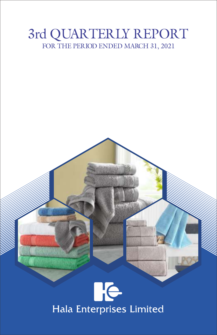# 3rd QUARTERLY REPORT FOR THE PERIOD ENDED MARCH 31, 2021

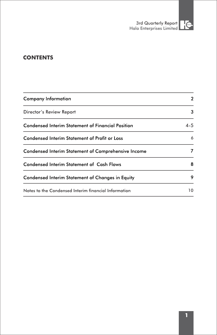

# **CONTENTS**

| <b>Company Information</b>                               | 2   |
|----------------------------------------------------------|-----|
| Director's Review Report                                 | 3   |
| <b>Condensed Interim Statement of Financial Position</b> | 4-5 |
| Condensed Interim Statement of Profit or Loss            | 6   |
| Condensed Interim Statement of Comprehensive Income      | 7   |
| <b>Condensed Interim Statement of Cash Flows</b>         | 8   |
| Condensed Interim Statement of Changes in Equity         | 9   |
| Notes to the Condensed Interim financial Information     | 10  |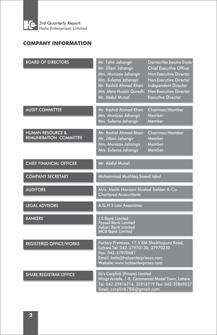

# **COMPANY INFORMATION**

| <b>BOARD OF DIRECTORS</b>                                    | Mr. Tahir Jahangir<br>Mr. Jillani Jahangir<br>Mrs. Munizae Jahangir<br>Mrs. Sulema Jahangir<br>Mr. Rashid Ahmad Khan<br>Mrs. Myra Husain Qureshi<br>Mr. Abdul Munaf            | Chairman/Non Executive Director<br><b>Chief Executive Officer</b><br>Non-Executive Director<br>Non-Executive Director<br>Independent Director<br>Non-Executive Director<br><b>Executive Director</b> |  |  |
|--------------------------------------------------------------|--------------------------------------------------------------------------------------------------------------------------------------------------------------------------------|------------------------------------------------------------------------------------------------------------------------------------------------------------------------------------------------------|--|--|
| <b>AUDIT COMMITTEE</b>                                       | Mr. Rashid Ahmad Khan<br>Mrs. Munizae Jahangir<br>Mrs. Sulema Jahangir                                                                                                         | Chairman/Member<br>Member<br>Member                                                                                                                                                                  |  |  |
| <b>HUMAN RESOURCE &amp;</b><br><b>REMUNERATION COMMITTEE</b> | Mr. Rashid Ahmad Khan<br>Mr. Jillani Jahangir<br>Mrs. Munizae Jahangir<br>Mrs. Sulema Jahangir                                                                                 | Chairman/Member<br>Member<br>Member<br>Member                                                                                                                                                        |  |  |
| <b>CHIEF FINANCIAL OFFICER</b>                               | Mr. Abdul Munaf                                                                                                                                                                |                                                                                                                                                                                                      |  |  |
| <b>COMPANY SECRETARY</b>                                     | Muhammad Mushtaq Saeed Iqbal                                                                                                                                                   |                                                                                                                                                                                                      |  |  |
| <b>AUDITORS</b>                                              | M/s. Malik Haroon Shahid Safder & Co.<br><b>Chartered Accountants</b>                                                                                                          |                                                                                                                                                                                                      |  |  |
| <b>LEGAL ADVISORS</b>                                        | <b>A.G.H.S Law Associates</b>                                                                                                                                                  |                                                                                                                                                                                                      |  |  |
| <b>BANKERS</b>                                               | <b>J.S Bank Limited</b><br><b>Faysal Bank Limited</b><br>Askari Bank Limited<br><b>MCB Bank Limited</b>                                                                        |                                                                                                                                                                                                      |  |  |
| <b>REGISTERED OFFICE/WORKS</b>                               | Factory Premises, 17.5 KM Sheikhupura Road,<br>Lahore Tel: 042-37970130, 37970230<br>Fax: 042-37970681<br>Email. hala@halaenterprieses.com<br>Website: www.halaenterprises.com |                                                                                                                                                                                                      |  |  |
| <b>SHARE REGISTRAR OFFICE</b>                                | M/s Corplink (Private) Limited<br>Wings Arcade, 1-K, Commercial Model Town, Lahore<br>Tel: 042-35916714, 35916719 Fax: 042-35869037<br>Email. corplink786@gmail.com            |                                                                                                                                                                                                      |  |  |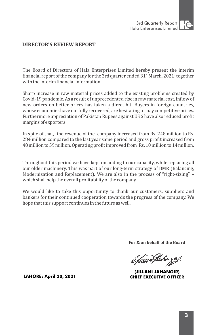

# **DIRECTOR'S REVIEW REPORT**

The Board of Directors of Hala Enterprises Limited hereby present the interim financial report of the company for the 3rd quarter ended  $31<sup>st</sup>$  March, 2021; together with the interim financial information.

Sharp increase in raw material prices added to the existing problems created by Covid-19 pandemic. As a result of unprecedented rise in raw material cost, inflow of new orders on better prices has taken a direct hit; Buyers in foreign countries, whose economies have not fully recovered, are hesitating to pay competitive prices. Furthermore appreciation of Pakistan Rupees against US \$ have also reduced profit margins of exporters.

In spite of that, the revenue of the company increased from Rs. 248 million to Rs. 284 million compared to the last year same period and gross profit increased from 48 million to 59 million. Operating profit improved from Rs. 10 million to 14 million.

Throughout this period we have kept on adding to our capacity, while replacing all our older machinery. This was part of our long-term strategy of BMR (Balancing, Modernization and Replacement). We are also in the process of "right-sizing" – which shall help the overall profitability of the company.

We would like to take this opportunity to thank our customers, suppliers and bankers for their continued cooperation towards the progress of the company. We hope that this support continues in the future as well.

**For & on behalf of the Board**

//www.fakirjsf

(JILLANI JAHANGIR) **CHIEF EXECUTIVE OFFICER** 

**LAHORE: April 30, 2021**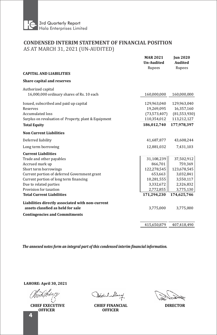

# **CONDENSED INTERIM STATEMENT OF FINANCIAL POSITION** AS AT MARCH 31, 2021 (UN-AUDITED)

|                                                       | <b>MAR 2021</b><br><b>Un-Audited</b><br>Rupees | <b>Jun 2020</b><br><b>Audited</b><br>Rupees |
|-------------------------------------------------------|------------------------------------------------|---------------------------------------------|
| <b>CAPITAL AND LIABILITIES</b>                        |                                                |                                             |
| <b>Share capital and reserves</b>                     |                                                |                                             |
| Authorized capital                                    |                                                |                                             |
| 16,000,000 ordinary shares of Rs. 10 each             | 160,000,000                                    | 160,000,000                                 |
| Issued, subscribed and paid up capital                | 129,963,040                                    | 129,963,040                                 |
| Reserves                                              | 19,269,095                                     | 16,357,160                                  |
| <b>Accumulated loss</b>                               | (73, 573, 407)                                 | (81, 553, 930)                              |
| Surplus on revaluation of Property, plant & Equipment | 110,354,012                                    | 113,212,127                                 |
| <b>Total Equity</b>                                   | 186,012,740                                    | 177,978,397                                 |
| <b>Non Current Liabilities</b>                        |                                                |                                             |
| Deferred liability                                    | 41,687,877                                     | 43,608,244                                  |
| Long term borrowing                                   | 12,881,032                                     | 7,431,103                                   |
| <b>Current Liabilities</b>                            |                                                |                                             |
| Trade and other payables                              | 31,108,239                                     | 37,502,912                                  |
| Accrued mark up                                       | 866,701                                        | 759,369                                     |
| Short term borrowings                                 | 122,278,545                                    | 123,678,545                                 |
| Current portion of deferred Government grant          | 653,663                                        | 3,032,841                                   |
| Current portion of long term financing                | 10,281,555                                     | 3,550,117                                   |
| Due to related parties                                | 3,332,672                                      | 2,326,832                                   |
| Provision for taxation                                | 2,772,855                                      | 3,775,130                                   |
| <b>Total Current Liabilities</b>                      | 171,294,230                                    | 174,625,746                                 |
| Liabilities directly associated with non-current      |                                                |                                             |
| assets classfied as held for sale                     | 3,775,000                                      | 3,775,000                                   |
| <b>Contingencies and Commitments</b>                  |                                                |                                             |
|                                                       | 415,650,879                                    | 407,418,490                                 |
|                                                       |                                                |                                             |

The annexed notes form an integral part of this condensed interim financial information.

**LAHORE: April 30, 2021** 

**CHIEF EXECUTIVE OFFICER**

Addul Muny

**CHIEF FINANCIAL DIRECTOR OFFICER**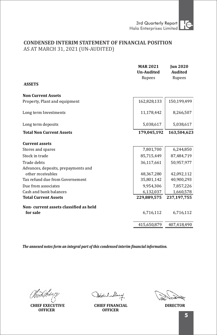# **CONDENSED INTERIM STATEMENT OF FINANCIAL POSITION** AS AT MARCH 31, 2021 (UN-AUDITED)

| <b>ASSETS</b><br>150,199,499<br>162,828,133<br>11,178,442<br>8,266,507<br>5,038,617<br>5,038,617<br>179,045,192<br>7,801,700<br>6,244,850<br>85,715,449<br>87,484,719<br>50,957,977<br>36,117,661<br>other receivables<br>48,367,280<br>42,092,112<br>Tax refund due from Governement<br>35,801,142<br>40,900,293<br>9,954,306<br>7,857,226<br>6,132,037<br>1,660,578<br><b>Total Current Assets</b><br>237,197,755<br>229,889,575<br>for sale<br>6,716,112<br>6,716,112<br>415,650,879<br>407,418,490 |                                        | <b>MAR 2021</b><br><b>Un-Audited</b><br>Rupees | <b>Jun 2020</b><br><b>Audited</b><br>Rupees |
|--------------------------------------------------------------------------------------------------------------------------------------------------------------------------------------------------------------------------------------------------------------------------------------------------------------------------------------------------------------------------------------------------------------------------------------------------------------------------------------------------------|----------------------------------------|------------------------------------------------|---------------------------------------------|
|                                                                                                                                                                                                                                                                                                                                                                                                                                                                                                        |                                        |                                                |                                             |
|                                                                                                                                                                                                                                                                                                                                                                                                                                                                                                        | <b>Non Current Assets</b>              |                                                |                                             |
|                                                                                                                                                                                                                                                                                                                                                                                                                                                                                                        | Property, Plant and equipment          |                                                |                                             |
|                                                                                                                                                                                                                                                                                                                                                                                                                                                                                                        | Long term Investments                  |                                                |                                             |
|                                                                                                                                                                                                                                                                                                                                                                                                                                                                                                        | Long term deposits                     |                                                |                                             |
|                                                                                                                                                                                                                                                                                                                                                                                                                                                                                                        | <b>Total Non Current Assets</b>        |                                                | 163,504,623                                 |
|                                                                                                                                                                                                                                                                                                                                                                                                                                                                                                        | <b>Current assets</b>                  |                                                |                                             |
|                                                                                                                                                                                                                                                                                                                                                                                                                                                                                                        | Stores and spares                      |                                                |                                             |
|                                                                                                                                                                                                                                                                                                                                                                                                                                                                                                        | Stock in trade                         |                                                |                                             |
|                                                                                                                                                                                                                                                                                                                                                                                                                                                                                                        | Trade debts                            |                                                |                                             |
|                                                                                                                                                                                                                                                                                                                                                                                                                                                                                                        | Advances, deposits, prepayments and    |                                                |                                             |
|                                                                                                                                                                                                                                                                                                                                                                                                                                                                                                        |                                        |                                                |                                             |
|                                                                                                                                                                                                                                                                                                                                                                                                                                                                                                        |                                        |                                                |                                             |
|                                                                                                                                                                                                                                                                                                                                                                                                                                                                                                        | Due from associates                    |                                                |                                             |
|                                                                                                                                                                                                                                                                                                                                                                                                                                                                                                        | Cash and bank balances                 |                                                |                                             |
|                                                                                                                                                                                                                                                                                                                                                                                                                                                                                                        |                                        |                                                |                                             |
|                                                                                                                                                                                                                                                                                                                                                                                                                                                                                                        | Non- current assets classified as held |                                                |                                             |
|                                                                                                                                                                                                                                                                                                                                                                                                                                                                                                        |                                        |                                                |                                             |
|                                                                                                                                                                                                                                                                                                                                                                                                                                                                                                        |                                        |                                                |                                             |

C. S. Posta

**CHIEF EXECUTIVE OFFICER**

Addul Muny

**CHIEF FINANCIAL DIRECTOR OFFICER**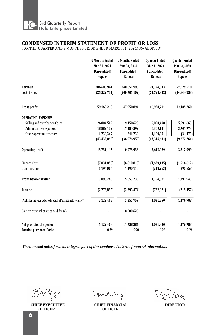

### **CONDENSED INTERIM STATEMENT OF PROFIT OR LOSS**

FOR THE OUARTER AND 9 MONTHS PERIOD ENDED MARCH 31, 2021(UN-AUDITED)

|                                                               | <b>9 Months Ended</b><br>Mar 31, 2021<br>(Un-audited)<br><b>Rupees</b> | <b>9 Months Ended</b><br>Mar 31, 2020<br>(Un-audited)<br><b>Rupees</b> | <b>Quarter Ended</b><br>Mar 31,2021<br>(Un-audited)<br><b>Rupees</b> | <b>Quarter Ended</b><br>Mar 31,2020<br>(Un-audited)<br><b>Rupees</b> |
|---------------------------------------------------------------|------------------------------------------------------------------------|------------------------------------------------------------------------|----------------------------------------------------------------------|----------------------------------------------------------------------|
| Revenue                                                       | 284,685,941                                                            | 248,651,996                                                            | 91,724,033                                                           | 57,029,518                                                           |
| Cost of sales                                                 | (225, 522, 731)                                                        | (200, 701, 102)                                                        | (74, 795, 332)                                                       | (44, 844, 258)                                                       |
| <b>Gross profit</b>                                           | 59,163,210                                                             | 47,950,894                                                             | 16,928,701                                                           | 12,185,260                                                           |
| <b>OPERATING EXPENSES</b>                                     |                                                                        |                                                                        |                                                                      |                                                                      |
| Selling and distribution Costs                                | 24,804,589                                                             | 19,150,620                                                             | 5,898,490                                                            | 5,991,663                                                            |
| Administrative expenses                                       | 18,889,139                                                             | 17,184,599                                                             | 6,309,141                                                            | 3,701,773                                                            |
| Other operating expenses                                      | 1,738,367                                                              | 641,739                                                                | 1,109,001                                                            | (21, 175)                                                            |
|                                                               | (45, 432, 095)                                                         | (36,976,958)                                                           | (13, 316, 632)                                                       | (9,672,261)                                                          |
| <b>Operating profit</b>                                       | 13,731,115                                                             | 10,973,936                                                             | 3,612,069                                                            | 2,512,999                                                            |
| <b>Finance Cost</b>                                           | (7,031,858)                                                            | (6,810,813)                                                            | (1,639,135)                                                          | (1,516,612)                                                          |
| Other income                                                  | 1,196,006                                                              | 1,490,110                                                              | (218, 263)                                                           | 395,558                                                              |
| Profit before taxation                                        | 7,895,263                                                              | 5,653,233                                                              | 1,754,671                                                            | 1,391,945                                                            |
| Taxation                                                      | (2,772,855)                                                            | (2,395,474)                                                            | (722, 821)                                                           | (215, 157)                                                           |
| Profit for the year before disposal of "Assets held for sale" | 5,122,408                                                              | 3,257,759                                                              | 1,031,850                                                            | 1,176,788                                                            |
| Gain on disposal of asset held for sale                       |                                                                        | 8,500,625                                                              |                                                                      |                                                                      |
| Net profit for the period                                     | 5,122,408                                                              | 11,758,384                                                             | 1,031,850                                                            | 1,176,788                                                            |
| Earning per share-Basic                                       | 0.39                                                                   | 0.90                                                                   | 0.08                                                                 | 0.09                                                                 |

Vant Ikka

**CHIEF EXECUTIVE OFFICER**

Addul Muny

**CHIEF FINANCIAL DIRECTOR OFFICER**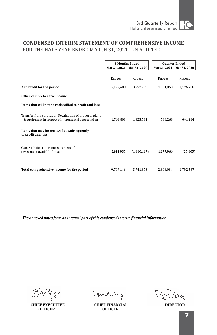# **CONDENSED INTERIM STATEMENT OF COMPREHENSIVE INCOME** FOR THE HALF YEAR ENDED MARCH 31, 2021 (UN AUDITED)

|                                                                                                              | <b>9 Months Ended</b> |                             |              | <b>Quarter Ended</b> |
|--------------------------------------------------------------------------------------------------------------|-----------------------|-----------------------------|--------------|----------------------|
|                                                                                                              |                       | Mar 31, 2021   Mar 31, 2020 | Mar 31, 2021 | Mar 31, 2020         |
|                                                                                                              | Rupees                | Rupees                      | Rupees       | Rupees               |
|                                                                                                              |                       |                             |              |                      |
| Net Profit for the period                                                                                    | 5,122,408             | 3,257,759                   | 1.031.850    | 1,176,788            |
| Other comprehensive income                                                                                   |                       |                             |              |                      |
| Items that will not be reclassified to profit and loss                                                       |                       |                             |              |                      |
| Transfer from surplus on Revaluation of property plant<br>& equipment in respect of incremental depreciation | 1,764,803             | 1,923,731                   | 588,268      | 641,244              |
| Items that may be reclassified subsequently<br>to profit and loss                                            |                       |                             |              |                      |
| Gain / (Deficit) on remeasurement of<br>investment available for sale                                        | 2,911,935             | (1,440,117)                 | 1,277,966    | (25, 465)            |
| Total comprehensive income for the period                                                                    | 9,799,146             | 3,741,373                   | 2,898,084    | 1,792,567            |

**CHIEF EXECUTIVE OFFICER**

Aldul Muny

**CHIEF FINANCIAL DIRECTOR OFFICER**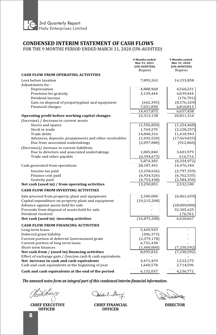

# **CONDENSED INTERIM STATEMENT OF CASH FLOWS**

FOR THE 9 MONTHS PERIOD ENDED MARCH 31, 2020 (UN-AUDITED)

|                                                                                                          | 9 Months ended<br>Mar 31, 2021<br>(UN-AUDITED) | 9 Months ended<br>Mar 31, 2020<br>(UN-AUDITED) |
|----------------------------------------------------------------------------------------------------------|------------------------------------------------|------------------------------------------------|
| <b>CASH FLOW FROM OPERATING ACTIVITIES</b>                                                               | Rupees                                         | Rupees                                         |
| Loss before taxation                                                                                     | 7,895,263                                      | 14,153,858                                     |
| Adjustments for:                                                                                         |                                                |                                                |
| Depreciation                                                                                             | 4,888,968                                      | 4,560,231                                      |
| Provision for gratuity                                                                                   | 3,139,444                                      | 4,039,444                                      |
| Dividend income                                                                                          |                                                | (176, 701)                                     |
| Gain on disposal of property, plant and equipment                                                        | (642, 395)                                     | (8,576,329)                                    |
| Financial charges                                                                                        | 7,031,858                                      | 6,810,813                                      |
|                                                                                                          | 14,417,875                                     | 6,657,458                                      |
| Operating profit before working capital changes                                                          | 22,313,138                                     | 20,811,316                                     |
| (Increase) / decrease in current assets                                                                  |                                                |                                                |
| Stores and spares                                                                                        | (1,556,850)                                    | (1,254,468)                                    |
| Stock in trade                                                                                           | 1,769,270                                      | (2,228,257)                                    |
| Trade debts                                                                                              | 14,840,316                                     | 11,610,943                                     |
| Advances, deposits, prepayments and other receivables                                                    | (1,692,520)                                    | (17, 569, 025)                                 |
| Due from associated undertakings                                                                         | (2,097,080)                                    | (912, 860)                                     |
| (Decrease)/ increase in current liabilities                                                              |                                                |                                                |
| Due to directors and associated undertakings                                                             | 1,005,840                                      | 3,401,979                                      |
| Trade and other payabls                                                                                  | (6, 394, 673)                                  | 616,716                                        |
|                                                                                                          | 5,874,303<br>28,187,441                        | (6, 334, 972)<br>14,476,344                    |
| Cash generated from operations                                                                           |                                                |                                                |
| Income tax paid                                                                                          | (3,258,626)                                    | (2,797,359)                                    |
| Finance cost paid                                                                                        | (6,924,526)                                    | (6,762,535)                                    |
| Gratuity paid                                                                                            | (4,753,438)                                    | (2,584,350)                                    |
| Net cash (used in) / from operating activities                                                           | 13,250,851                                     | 2,332,100                                      |
| <b>CASH FLOW FROM INVESTING ACTIVITIES</b>                                                               |                                                |                                                |
| Sale proceed from property, plant and equipment                                                          | 2,340,000                                      | (6,061,659)                                    |
| Capital expenditure on property plant and equipment                                                      | (19, 215, 208)                                 |                                                |
| Advance against assets held for sale                                                                     |                                                | (20,000,000)                                   |
| Proceeds from disposal of assets held for sale                                                           |                                                | 32,305,625                                     |
| Dividend received                                                                                        |                                                | 176,701                                        |
| Net cash (used in) investing activities                                                                  | (16, 875, 208)                                 | 6,420,667                                      |
| <b>CASH FLOW FROM FINANCING ACTIVITIES</b>                                                               |                                                |                                                |
| Long term loans                                                                                          | 5,449,929                                      |                                                |
| Deferred grant liability                                                                                 | (306, 373)                                     |                                                |
| Current portion of deferred Governement grant                                                            | (2, 379, 178)                                  |                                                |
| Current portion of long term loans                                                                       | 6,731,438                                      |                                                |
| Short term finances                                                                                      | (1,400,000)                                    | (7, 230, 592)                                  |
| Net cash from / (used in) financing activities                                                           | 8,095,816                                      | (7,230,592)                                    |
| Effect of exchange gain / (loss) on cash & cash equivalents<br>Net increase in cash and cash equivalents | 4,471,459                                      | 1,522,175                                      |
| Cash and cash equivalents at the beginning of year                                                       | 1,660,578                                      | 2,714,596                                      |
|                                                                                                          |                                                |                                                |
| Cash and cash equivalents at the end of the period                                                       | 6,132,037                                      | 4,236,771                                      |

**CHIEF EXECUTIVE OFFICER**

Aldul Muny

**CHIEF FINANCIAL DIRECTOR OFFICER**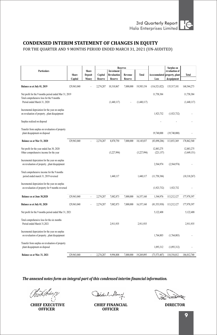

### **CONDENSED INTERIM STATEMENT OF CHANGES IN EQUITY**

FOR THE QUARTER AND 9 MONTHS PERIOD ENDED MARCH 31, 2021 (UN-AUDITED)

|                                                                                                                                   |             |                         |           | <b>Reserves</b>                  |                |              | <b>Surplus on</b>             |                |                           |
|-----------------------------------------------------------------------------------------------------------------------------------|-------------|-------------------------|-----------|----------------------------------|----------------|--------------|-------------------------------|----------------|---------------------------|
| <b>Particulars</b>                                                                                                                | Share       | Share<br><b>Deposit</b> | Capital   | Investment<br><b>Revaluation</b> | Revenue        | <b>Total</b> | Accccumulated property, plant | revaluation of | Total                     |
|                                                                                                                                   | Capital     | Money                   | Reserve   | Reserve                          | <b>Reserve</b> |              | Loss                          | &equipment     |                           |
| Balance as at July 01, 2019                                                                                                       | 129,963,040 |                         | 2,274,287 | 10,310,867                       | 7,000,000      | 19,585,154   | (116, 521, 022)               | 135,517,101    | 168,544,273               |
| Net profit for the 9 months period ended Mar 31, 2019<br>Total comprehensive loss for the 9 months<br>Period ended March 31, 2020 |             |                         |           | (1,440,117)                      |                | (1,440,117)  | 11,758,384                    |                | 11,758,384<br>(1,440,117) |
| Incremental deprciation for the year on surplus<br>on revaluation of property, plant &equipment                                   |             |                         |           |                                  |                |              | 1,923,732                     | (1,923,732)    |                           |
| Surplus realized on disposal                                                                                                      |             |                         |           |                                  |                |              |                               |                |                           |
| Transfer from surplus on revaluation of property<br>plant &equipment on disposal                                                  |             |                         |           |                                  |                |              | 19,740,000                    | (19,740,000)   |                           |
| Balance as at Mar 31, 2020                                                                                                        | 129,963,040 |                         | 2,274,287 | 8,870,750                        | 7,000,000      | 18,145,037   | (83,098,206)                  | 113,853,369    | 178,862,540               |
| Net profit for the year ended Jun 30, 2020<br>Other comprehensive income for the year                                             |             |                         |           | (3,227,994)                      |                | (3,227,994)  | 12,883,275<br>(221, 157)      |                | 12,883,275<br>(3,449,151) |
| Incremental depreiation for the year on surplus<br>on revaluation of property, plant &equipment                                   |             |                         |           |                                  |                |              | 2,564,974                     | (2,564,974)    |                           |
| Total comprehensive income for the 9 months<br>period ended march 31, 2019 reversed                                               |             |                         |           | 1,440,117                        |                | 1.440.117    | (11, 758, 384)                |                | (10, 318, 267)            |
| Incremental depreiation for the year on surplus<br>on revaluation of property for 9 months reversed                               |             |                         |           |                                  |                |              | (1,923,732)                   | 1,923,732      |                           |
| Balance as at June 30,2020                                                                                                        | 129,963,040 | ä,                      | 2,274,287 | 7,082,873                        | 7,000,000      | 16,357,160   | 1,544,976                     | 113,212,127    | 177,978,397               |
| Balance as at July 01, 2020                                                                                                       | 129,963,040 |                         | 2,274,287 | 7,082,873                        | 7,000,000      | 16,357,160   | (81,553,930)                  | 113,212,127    | 177,978,397               |
| Net profit for the 9 months period ended Mar 31, 2021                                                                             |             |                         |           |                                  |                |              | 5,122,408                     |                | 5,122,408                 |
| Total comprehensive loss for the six months<br>Period ended March 31,2021                                                         |             |                         |           | 2,911,935                        |                | 2,911,935    |                               |                | 2,911,935                 |
| Incremental depreiation for the year on surplus<br>on revaluation of property, plant &equipment                                   |             |                         |           |                                  |                |              | 1,764,803                     | (1,764,803)    |                           |
| Transfer from surplus on revaluation of property<br>plant &equipment on disposal                                                  |             |                         |           |                                  |                |              | 1,093,312                     | (1,093,312)    |                           |
| Balance as at Mar. 31, 2021                                                                                                       | 129,963,040 | ä,                      | 2,274,287 | 9.994.808                        | 7,000,000      | 19.269.095   | (73,573,407)                  | 110,354,012    | 186.012.740               |

**CHIEF EXECUTIVE OFFICER**

Addul Muny

**CHIEF FINANCIAL DIRECTOR OFFICER**

ķ.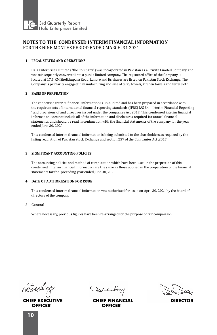

### **NOTES TO THE CONDENSED INTERIM FINANCIAL INFORMATION** FOR THE NINE MONTHS PERIOD ENDED MARCH, 31 2021

### **1 LEGAL STATUS AND OPERATIONS**

Hala Enterprises Limited ("the Company") was incorporated in Pakistan as a Private Limited Company and was subsequently converted into a public limited company. The registered office of the Company is located at 17.5 KM Sheikhupura Road, Lahore and its shares are listed on Pakistan Stock Exchange. The Company is primarily engaged in manufacturing and sale of terry towels, kitchen towels and terry cloth.

### **2 BASIS OF PERPRATION**

The condensed interim financial information is un-audited and has been prepared in accordance with the requirements of international financial reporting standards (IFRS) IAS 34 - 'Irterim Financial Reporting ' and provisions of and directives issued under the companies Act 2017. This condensed interim financial information does not include all of the information and disclosures required for annual financial statements, and should be read in conjunction with the financial statements of the company for the year ended June 30, 2020

This condensed interim financial information is being submitted to the shareholders as required by the listing regulation of Pakistan stock Exchange and section 237 of the Companies Act, 2017

### **3 SIGNIFICANT ACCOUNTING POLICIES**

The accounting policies and mathod of computation which have been used in the prepration of this condensed interim financial information are the same as those applied in the preparation of the financial statements for the preceding year ended June 30, 2020

### **4 DATE OF AUTHORIZATION FOR ISSUE**

This condensed interim financial information was authorized for issue on April 30, 2021 by the board of directors of the company

#### **5 General**

Where necessary, previous figures have been re-arranged for the purpose of fair comparison.

**CHIEF EXECUTIVE OFFICER**

Atechel Muny

**CHIEF FINANCIAL DIRECTOR OFFICER**